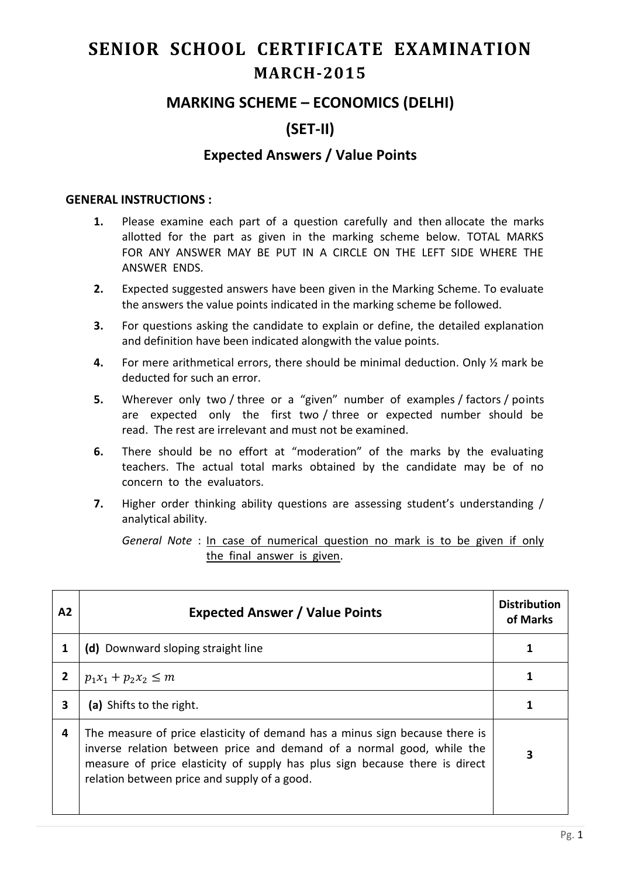# **SENIOR SCHOOL CERTIFICATE EXAMINATION MARCH-2015**

## **MARKING SCHEME – ECONOMICS (DELHI)**

# **(SET-II)**

### **Expected Answers / Value Points**

#### **GENERAL INSTRUCTIONS :**

- **1.** Please examine each part of a question carefully and then allocate the marks allotted for the part as given in the marking scheme below. TOTAL MARKS FOR ANY ANSWER MAY BE PUT IN A CIRCLE ON THE LEFT SIDE WHERE THE ANSWER ENDS.
- **2.** Expected suggested answers have been given in the Marking Scheme. To evaluate the answers the value points indicated in the marking scheme be followed.
- **3.** For questions asking the candidate to explain or define, the detailed explanation and definition have been indicated alongwith the value points.
- **4.** For mere arithmetical errors, there should be minimal deduction. Only ½ mark be deducted for such an error.
- **5.** Wherever only two / three or a "given" number of examples / factors / points are expected only the first two / three or expected number should be read. The rest are irrelevant and must not be examined.
- **6.** There should be no effort at "moderation" of the marks by the evaluating teachers. The actual total marks obtained by the candidate may be of no concern to the evaluators.
- **7.** Higher order thinking ability questions are assessing student's understanding / analytical ability.

*General Note* : In case of numerical question no mark is to be given if only the final answer is given.

| A2           | <b>Expected Answer / Value Points</b>                                                                                                                                                                                                                                               | <b>Distribution</b><br>of Marks |
|--------------|-------------------------------------------------------------------------------------------------------------------------------------------------------------------------------------------------------------------------------------------------------------------------------------|---------------------------------|
|              | (d) Downward sloping straight line                                                                                                                                                                                                                                                  |                                 |
| $\mathbf{2}$ | $p_1x_1 + p_2x_2 \le m$                                                                                                                                                                                                                                                             |                                 |
| 3            | (a) Shifts to the right.                                                                                                                                                                                                                                                            |                                 |
| 4            | The measure of price elasticity of demand has a minus sign because there is<br>inverse relation between price and demand of a normal good, while the<br>measure of price elasticity of supply has plus sign because there is direct<br>relation between price and supply of a good. |                                 |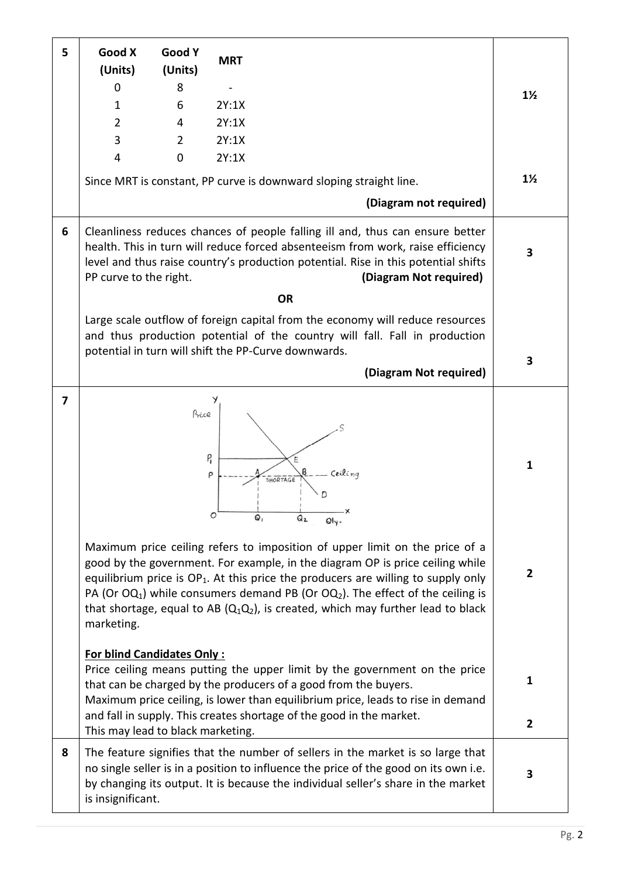| 5              | Good X<br>(Units)                                                      | Good Y<br>(Units) | <b>MRT</b>                                                                                                                                                                                                                                                                                                                                                                                                                                                                                                            |                                |
|----------------|------------------------------------------------------------------------|-------------------|-----------------------------------------------------------------------------------------------------------------------------------------------------------------------------------------------------------------------------------------------------------------------------------------------------------------------------------------------------------------------------------------------------------------------------------------------------------------------------------------------------------------------|--------------------------------|
|                | 0                                                                      | 8                 |                                                                                                                                                                                                                                                                                                                                                                                                                                                                                                                       | $1\frac{1}{2}$                 |
|                | 1                                                                      | 6                 | 2Y:1X                                                                                                                                                                                                                                                                                                                                                                                                                                                                                                                 |                                |
|                | $\overline{2}$                                                         | 4                 | 2Y:1X                                                                                                                                                                                                                                                                                                                                                                                                                                                                                                                 |                                |
|                | 3                                                                      | $\overline{2}$    | 2Y:1X                                                                                                                                                                                                                                                                                                                                                                                                                                                                                                                 |                                |
|                | $\overline{4}$                                                         | $\mathbf 0$       | 2Y:1X                                                                                                                                                                                                                                                                                                                                                                                                                                                                                                                 |                                |
|                |                                                                        |                   | Since MRT is constant, PP curve is downward sloping straight line.                                                                                                                                                                                                                                                                                                                                                                                                                                                    | $1\frac{1}{2}$                 |
|                |                                                                        |                   | (Diagram not required)                                                                                                                                                                                                                                                                                                                                                                                                                                                                                                |                                |
| 6              | PP curve to the right.                                                 |                   | Cleanliness reduces chances of people falling ill and, thus can ensure better<br>health. This in turn will reduce forced absenteeism from work, raise efficiency<br>level and thus raise country's production potential. Rise in this potential shifts<br>(Diagram Not required)                                                                                                                                                                                                                                      | 3                              |
|                |                                                                        |                   | <b>OR</b>                                                                                                                                                                                                                                                                                                                                                                                                                                                                                                             |                                |
|                |                                                                        |                   | Large scale outflow of foreign capital from the economy will reduce resources<br>and thus production potential of the country will fall. Fall in production<br>potential in turn will shift the PP-Curve downwards.                                                                                                                                                                                                                                                                                                   | 3                              |
|                |                                                                        |                   | (Diagram Not required)                                                                                                                                                                                                                                                                                                                                                                                                                                                                                                |                                |
| $\overline{7}$ | marketing.                                                             | Price             | $P_{\text{I}}$<br>Ceiling<br>P<br>SHORTAGE<br>Q <sub>2</sub><br>Maximum price ceiling refers to imposition of upper limit on the price of a<br>good by the government. For example, in the diagram OP is price ceiling while<br>equilibrium price is $OP_1$ . At this price the producers are willing to supply only<br>PA (Or OQ <sub>1</sub> ) while consumers demand PB (Or OQ <sub>2</sub> ). The effect of the ceiling is<br>that shortage, equal to AB $(Q_1Q_2)$ , is created, which may further lead to black | $\mathbf{1}$<br>$\overline{2}$ |
|                | <b>For blind Candidates Only:</b><br>This may lead to black marketing. |                   | Price ceiling means putting the upper limit by the government on the price<br>that can be charged by the producers of a good from the buyers.<br>Maximum price ceiling, is lower than equilibrium price, leads to rise in demand<br>and fall in supply. This creates shortage of the good in the market.                                                                                                                                                                                                              | $\mathbf{1}$<br>$\overline{2}$ |
| 8              | is insignificant.                                                      |                   | The feature signifies that the number of sellers in the market is so large that<br>no single seller is in a position to influence the price of the good on its own i.e.<br>by changing its output. It is because the individual seller's share in the market                                                                                                                                                                                                                                                          | 3                              |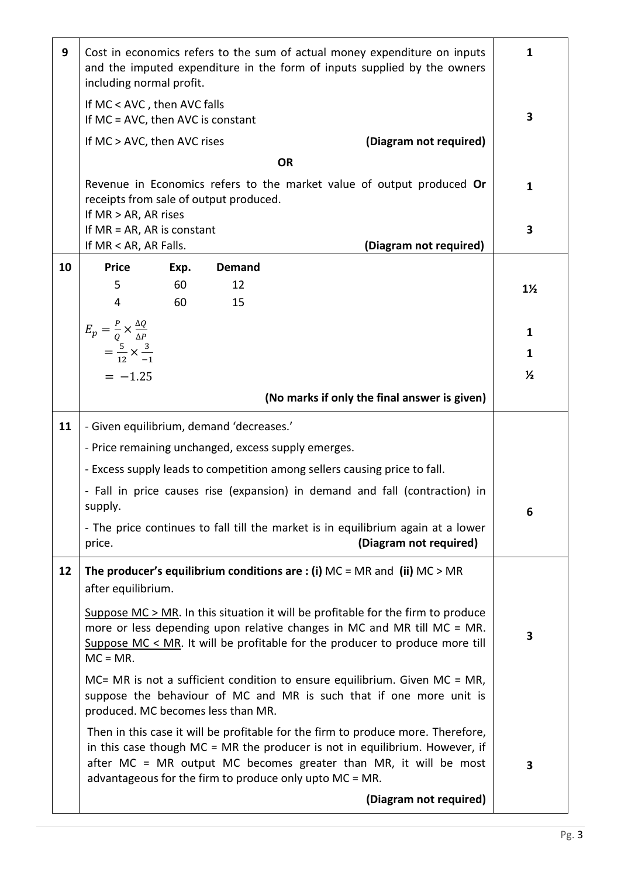| 9  | Cost in economics refers to the sum of actual money expenditure on inputs<br>and the imputed expenditure in the form of inputs supplied by the owners<br>including normal profit.                                                                                                                | $\mathbf{1}$   |
|----|--------------------------------------------------------------------------------------------------------------------------------------------------------------------------------------------------------------------------------------------------------------------------------------------------|----------------|
|    | If MC < AVC, then AVC falls<br>If $MC = AVC$ , then AVC is constant                                                                                                                                                                                                                              | 3              |
|    | (Diagram not required)<br>If MC > AVC, then AVC rises                                                                                                                                                                                                                                            |                |
|    | <b>OR</b>                                                                                                                                                                                                                                                                                        |                |
|    | Revenue in Economics refers to the market value of output produced Or<br>receipts from sale of output produced.<br>If $MR > AR$ , AR rises                                                                                                                                                       | $\mathbf{1}$   |
|    | If $MR = AR$ , AR is constant                                                                                                                                                                                                                                                                    | 3              |
| 10 | If MR < AR, AR Falls.<br>(Diagram not required)<br><b>Price</b><br><b>Demand</b>                                                                                                                                                                                                                 |                |
|    | Exp.<br>5<br>60<br>12                                                                                                                                                                                                                                                                            | $1\frac{1}{2}$ |
|    | 60<br>4<br>15                                                                                                                                                                                                                                                                                    |                |
|    |                                                                                                                                                                                                                                                                                                  | $\mathbf{1}$   |
|    | $E_p = \frac{P}{Q} \times \frac{\Delta Q}{\Delta P}$<br>= $\frac{5}{12} \times \frac{3}{-1}$                                                                                                                                                                                                     | 1              |
|    | $= -1.25$                                                                                                                                                                                                                                                                                        | $\frac{1}{2}$  |
|    | (No marks if only the final answer is given)                                                                                                                                                                                                                                                     |                |
| 11 | - Given equilibrium, demand 'decreases.'                                                                                                                                                                                                                                                         |                |
|    | - Price remaining unchanged, excess supply emerges.                                                                                                                                                                                                                                              |                |
|    | - Excess supply leads to competition among sellers causing price to fall.                                                                                                                                                                                                                        |                |
|    | - Fall in price causes rise (expansion) in demand and fall (contraction) in<br>supply.                                                                                                                                                                                                           | 6              |
|    | - The price continues to fall till the market is in equilibrium again at a lower<br>(Diagram not required)<br>price.                                                                                                                                                                             |                |
| 12 | The producer's equilibrium conditions are : (i) $MC = MR$ and (ii) $MC > MR$<br>after equilibrium.                                                                                                                                                                                               |                |
|    | Suppose $MC > MR$ . In this situation it will be profitable for the firm to produce<br>more or less depending upon relative changes in MC and MR till MC = MR.<br>Suppose $MC < MR$ . It will be profitable for the producer to produce more till<br>$MC = MR$ .                                 | 3              |
|    | $MC = MR$ is not a sufficient condition to ensure equilibrium. Given $MC = MR$ ,<br>suppose the behaviour of MC and MR is such that if one more unit is<br>produced. MC becomes less than MR.                                                                                                    |                |
|    | Then in this case it will be profitable for the firm to produce more. Therefore,<br>in this case though $MC = MR$ the producer is not in equilibrium. However, if<br>after MC = MR output MC becomes greater than MR, it will be most<br>advantageous for the firm to produce only upto MC = MR. | 3              |
|    | (Diagram not required)                                                                                                                                                                                                                                                                           |                |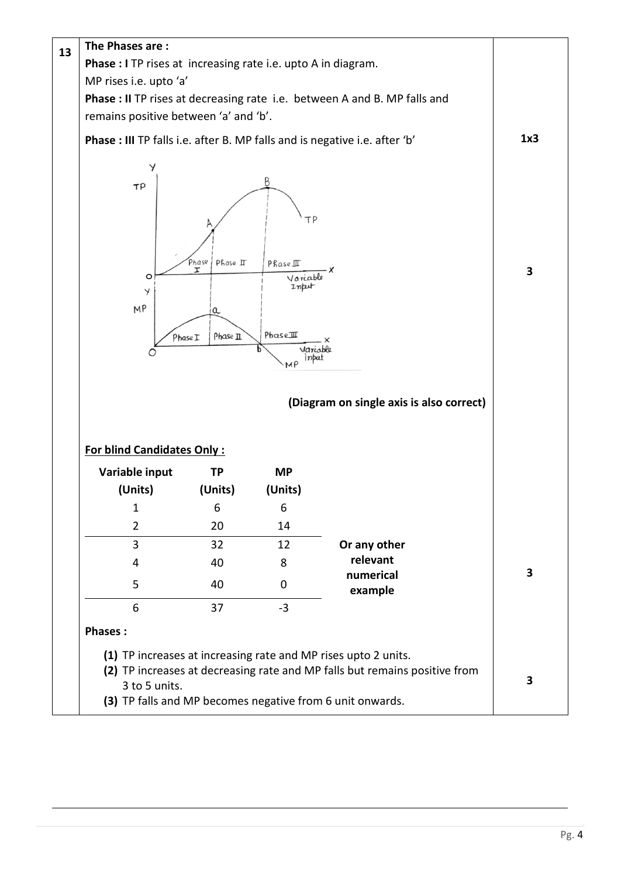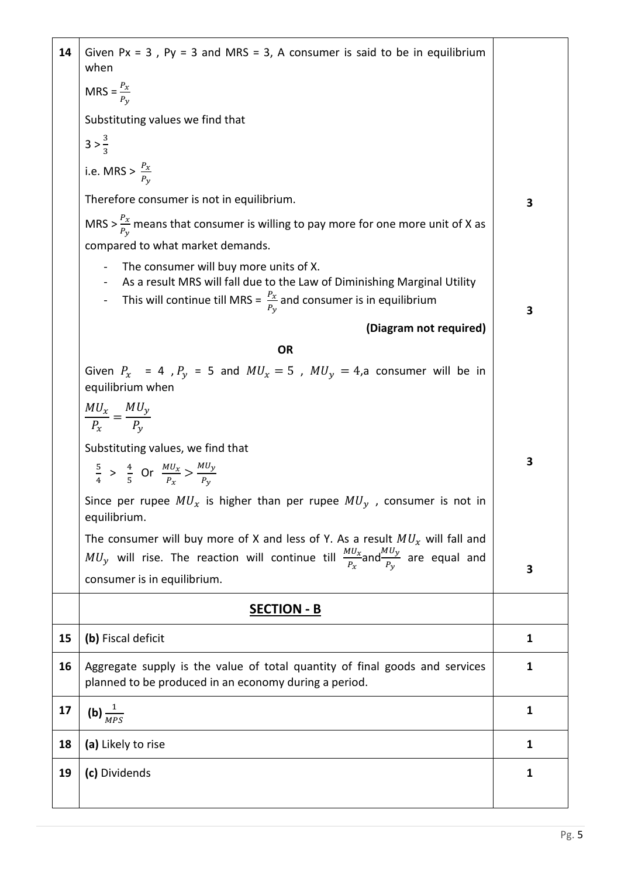| 14 | Given Px = $3$ , Py = $3$ and MRS = $3$ , A consumer is said to be in equilibrium<br>when                                                                                                                                          |              |
|----|------------------------------------------------------------------------------------------------------------------------------------------------------------------------------------------------------------------------------------|--------------|
|    | MRS = $\frac{P_x}{P_v}$                                                                                                                                                                                                            |              |
|    | Substituting values we find that                                                                                                                                                                                                   |              |
|    | $3 > \frac{3}{3}$                                                                                                                                                                                                                  |              |
|    | i.e. MRS > $\frac{P_x}{P_y}$                                                                                                                                                                                                       |              |
|    | Therefore consumer is not in equilibrium.                                                                                                                                                                                          | 3            |
|    | MRS > $\frac{P_x}{P_y}$ means that consumer is willing to pay more for one more unit of X as                                                                                                                                       |              |
|    | compared to what market demands.                                                                                                                                                                                                   |              |
|    | The consumer will buy more units of X.<br>$\blacksquare$<br>As a result MRS will fall due to the Law of Diminishing Marginal Utility<br>This will continue till MRS = $\frac{P_x}{P_y}$ and consumer is in equilibrium<br>$\equiv$ | 3            |
|    | (Diagram not required)                                                                                                                                                                                                             |              |
|    | OR                                                                                                                                                                                                                                 |              |
|    | Given $P_x$ = 4, $P_y$ = 5 and $MU_x = 5$ , $MU_y = 4$ , a consumer will be in<br>equilibrium when                                                                                                                                 |              |
|    | $\frac{MU_x}{P_x} = \frac{MU_y}{P_y}$                                                                                                                                                                                              |              |
|    | Substituting values, we find that                                                                                                                                                                                                  |              |
|    | $rac{5}{4}$ > $rac{4}{5}$ Or $rac{MU_x}{P_x}$ > $rac{MU_y}{P_y}$                                                                                                                                                                   | 3            |
|    | Since per rupee $MU_x$ is higher than per rupee $MU_y$ , consumer is not in<br>equilibrium.                                                                                                                                        |              |
|    | The consumer will buy more of X and less of Y. As a result $MU_x$ will fall and<br>$MU_y$ will rise. The reaction will continue till $\frac{MU_x}{P_x}$ and $\frac{MU_y}{P_y}$ are equal and<br>consumer is in equilibrium.        | 3            |
|    | <b>SECTION - B</b>                                                                                                                                                                                                                 |              |
| 15 | (b) Fiscal deficit                                                                                                                                                                                                                 | $\mathbf{1}$ |
| 16 | Aggregate supply is the value of total quantity of final goods and services<br>planned to be produced in an economy during a period.                                                                                               | $\mathbf{1}$ |
| 17 | (b) $\frac{1}{MPS}$                                                                                                                                                                                                                | $\mathbf{1}$ |
| 18 | (a) Likely to rise                                                                                                                                                                                                                 | $\mathbf{1}$ |
| 19 | (c) Dividends                                                                                                                                                                                                                      | $\mathbf{1}$ |
|    |                                                                                                                                                                                                                                    |              |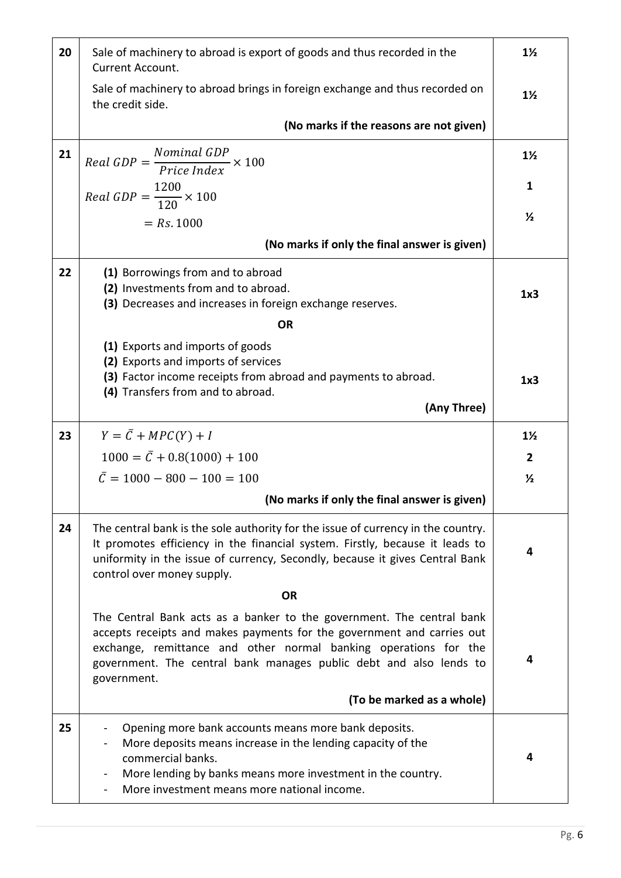| 20 | Sale of machinery to abroad is export of goods and thus recorded in the<br>Current Account.                                                                                                                                                                                                              | $1\frac{1}{2}$ |
|----|----------------------------------------------------------------------------------------------------------------------------------------------------------------------------------------------------------------------------------------------------------------------------------------------------------|----------------|
|    | Sale of machinery to abroad brings in foreign exchange and thus recorded on<br>the credit side.                                                                                                                                                                                                          | $1\frac{1}{2}$ |
|    | (No marks if the reasons are not given)                                                                                                                                                                                                                                                                  |                |
| 21 | $Real GDP = \frac{Nominal GDP}{Price Index} \times 100$                                                                                                                                                                                                                                                  | $1\frac{1}{2}$ |
|    | Real GDP = $\frac{1200}{120} \times 100$                                                                                                                                                                                                                                                                 | 1              |
|    | $= Rs. 1000$                                                                                                                                                                                                                                                                                             | $\frac{1}{2}$  |
|    | (No marks if only the final answer is given)                                                                                                                                                                                                                                                             |                |
| 22 | (1) Borrowings from and to abroad<br>(2) Investments from and to abroad.<br>(3) Decreases and increases in foreign exchange reserves.                                                                                                                                                                    | 1x3            |
|    | <b>OR</b>                                                                                                                                                                                                                                                                                                |                |
|    | (1) Exports and imports of goods<br>(2) Exports and imports of services<br>(3) Factor income receipts from abroad and payments to abroad.<br>(4) Transfers from and to abroad.                                                                                                                           | 1x3            |
|    | (Any Three)                                                                                                                                                                                                                                                                                              |                |
| 23 | $Y = \overline{C} + MPC(Y) + I$                                                                                                                                                                                                                                                                          | $1\frac{1}{2}$ |
|    | $1000 = \bar{C} + 0.8(1000) + 100$                                                                                                                                                                                                                                                                       | $\overline{2}$ |
|    | $\overline{C} = 1000 - 800 - 100 = 100$                                                                                                                                                                                                                                                                  | $\frac{1}{2}$  |
|    | (No marks if only the final answer is given)                                                                                                                                                                                                                                                             |                |
| 24 | The central bank is the sole authority for the issue of currency in the country.<br>It promotes efficiency in the financial system. Firstly, because it leads to<br>uniformity in the issue of currency, Secondly, because it gives Central Bank<br>control over money supply.                           | 4              |
|    | <b>OR</b>                                                                                                                                                                                                                                                                                                |                |
|    | The Central Bank acts as a banker to the government. The central bank<br>accepts receipts and makes payments for the government and carries out<br>exchange, remittance and other normal banking operations for the<br>government. The central bank manages public debt and also lends to<br>government. | 4              |
|    | (To be marked as a whole)                                                                                                                                                                                                                                                                                |                |
| 25 | Opening more bank accounts means more bank deposits.<br>More deposits means increase in the lending capacity of the<br>commercial banks.<br>More lending by banks means more investment in the country.<br>More investment means more national income.                                                   | 4              |